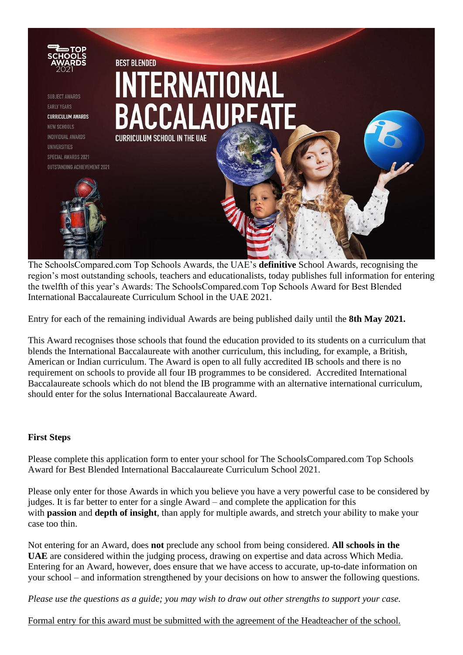

The SchoolsCompared.com Top Schools Awards, the UAE's **definitive** School Awards, recognising the region's most outstanding schools, teachers and educationalists, today publishes full information for entering the twelfth of this year's Awards: The SchoolsCompared.com Top Schools Award for Best Blended International Baccalaureate Curriculum School in the UAE 2021.

Entry for each of the remaining individual Awards are being published daily until the **8th May 2021.** 

This Award recognises those schools that found the education provided to its students on a curriculum that blends the International Baccalaureate with another curriculum, this including, for example, a British, American or Indian curriculum. The Award is open to all fully accredited IB schools and there is no requirement on schools to provide all four IB programmes to be considered. Accredited International Baccalaureate schools which do not blend the IB programme with an alternative international curriculum, should enter for the solus International Baccalaureate Award.

# **First Steps**

Please complete this application form to enter your school for The SchoolsCompared.com Top Schools Award for Best Blended International Baccalaureate Curriculum School 2021.

Please only enter for those Awards in which you believe you have a very powerful case to be considered by judges. It is far better to enter for a single Award – and complete the application for this with **passion** and **depth of insight**, than apply for multiple awards, and stretch your ability to make your case too thin.

Not entering for an Award, does **not** preclude any school from being considered. **All schools in the UAE** are considered within the judging process, drawing on expertise and data across Which Media. Entering for an Award, however, does ensure that we have access to accurate, up-to-date information on your school – and information strengthened by your decisions on how to answer the following questions.

*Please use the questions as a guide; you may wish to draw out other strengths to support your case.*

Formal entry for this award must be submitted with the agreement of the Headteacher of the school.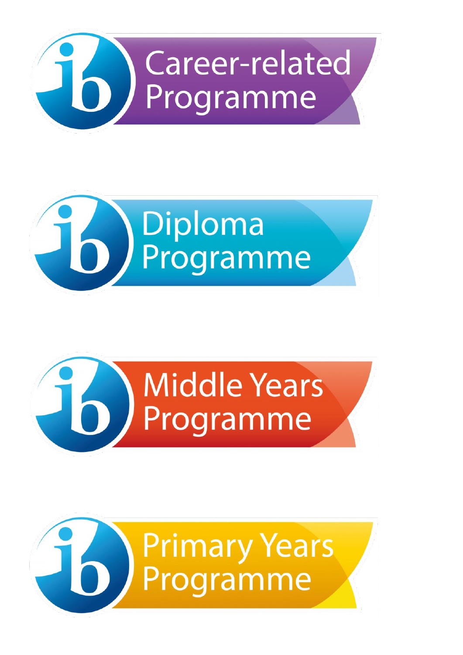





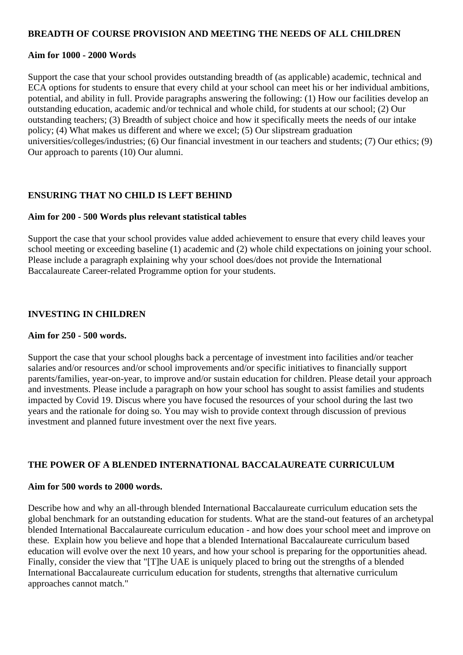## **BREADTH OF COURSE PROVISION AND MEETING THE NEEDS OF ALL CHILDREN**

## **Aim for 1000 - 2000 Words**

Support the case that your school provides outstanding breadth of (as applicable) academic, technical and ECA options for students to ensure that every child at your school can meet his or her individual ambitions, potential, and ability in full. Provide paragraphs answering the following: (1) How our facilities develop an outstanding education, academic and/or technical and whole child, for students at our school; (2) Our outstanding teachers; (3) Breadth of subject choice and how it specifically meets the needs of our intake policy; (4) What makes us different and where we excel; (5) Our slipstream graduation universities/colleges/industries; (6) Our financial investment in our teachers and students; (7) Our ethics; (9) Our approach to parents (10) Our alumni.

# **ENSURING THAT NO CHILD IS LEFT BEHIND**

## **Aim for 200 - 500 Words plus relevant statistical tables**

Support the case that your school provides value added achievement to ensure that every child leaves your school meeting or exceeding baseline (1) academic and (2) whole child expectations on joining your school. Please include a paragraph explaining why your school does/does not provide the International Baccalaureate Career-related Programme option for your students.

## **INVESTING IN CHILDREN**

## **Aim for 250 - 500 words.**

Support the case that your school ploughs back a percentage of investment into facilities and/or teacher salaries and/or resources and/or school improvements and/or specific initiatives to financially support parents/families, year-on-year, to improve and/or sustain education for children. Please detail your approach and investments. Please include a paragraph on how your school has sought to assist families and students impacted by Covid 19. Discus where you have focused the resources of your school during the last two years and the rationale for doing so. You may wish to provide context through discussion of previous investment and planned future investment over the next five years.

# **THE POWER OF A BLENDED INTERNATIONAL BACCALAUREATE CURRICULUM**

## **Aim for 500 words to 2000 words.**

Describe how and why an all-through blended International Baccalaureate curriculum education sets the global benchmark for an outstanding education for students. What are the stand-out features of an archetypal blended International Baccalaureate curriculum education - and how does your school meet and improve on these. Explain how you believe and hope that a blended International Baccalaureate curriculum based education will evolve over the next 10 years, and how your school is preparing for the opportunities ahead. Finally, consider the view that "[T]he UAE is uniquely placed to bring out the strengths of a blended International Baccalaureate curriculum education for students, strengths that alternative curriculum approaches cannot match."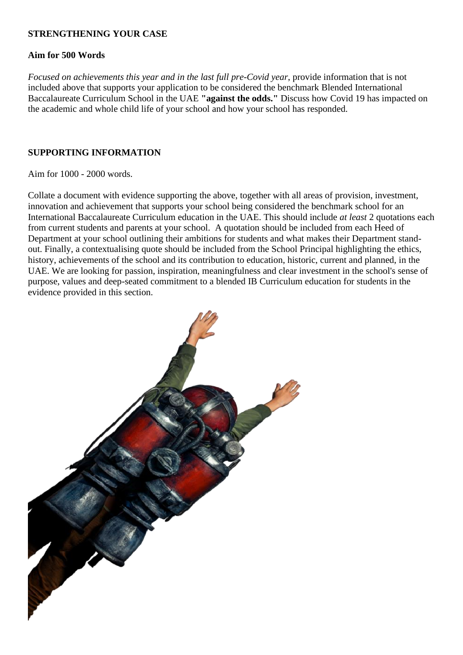## **STRENGTHENING YOUR CASE**

## **Aim for 500 Words**

*Focused on achievements this year and in the last full pre-Covid year*, provide information that is not included above that supports your application to be considered the benchmark Blended International Baccalaureate Curriculum School in the UAE **"against the odds."** Discuss how Covid 19 has impacted on the academic and whole child life of your school and how your school has responded.

# **SUPPORTING INFORMATION**

## Aim for 1000 - 2000 words.

Collate a document with evidence supporting the above, together with all areas of provision, investment, innovation and achievement that supports your school being considered the benchmark school for an International Baccalaureate Curriculum education in the UAE. This should include *at least* 2 quotations each from current students and parents at your school. A quotation should be included from each Heed of Department at your school outlining their ambitions for students and what makes their Department standout. Finally, a contextualising quote should be included from the School Principal highlighting the ethics, history, achievements of the school and its contribution to education, historic, current and planned, in the UAE. We are looking for passion, inspiration, meaningfulness and clear investment in the school's sense of purpose, values and deep-seated commitment to a blended IB Curriculum education for students in the evidence provided in this section.

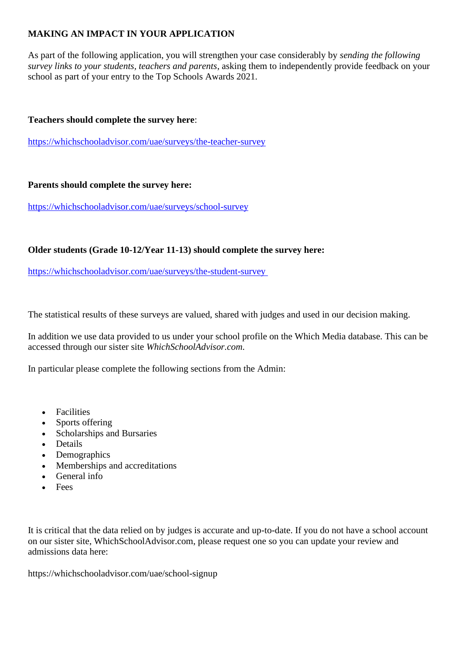# **MAKING AN IMPACT IN YOUR APPLICATION**

As part of the following application, you will strengthen your case considerably by *sending the following survey links to your students, teachers and parents*, asking them to independently provide feedback on your school as part of your entry to the Top Schools Awards 2021.

# **Teachers should complete the survey here**:

<https://whichschooladvisor.com/uae/surveys/the-teacher-survey>

## **Parents should complete the survey here:**

<https://whichschooladvisor.com/uae/surveys/school-survey>

# **Older students (Grade 10-12/Year 11-13) should complete the survey here:**

<https://whichschooladvisor.com/uae/surveys/the-student-survey>

The statistical results of these surveys are valued, shared with judges and used in our decision making.

In addition we use data provided to us under your school profile on the Which Media database. This can be accessed through our sister site *WhichSchoolAdvisor.com*.

In particular please complete the following sections from the Admin:

- Facilities
- Sports offering
- Scholarships and Bursaries
- Details
- Demographics
- Memberships and accreditations
- General info
- Fees

It is critical that the data relied on by judges is accurate and up-to-date. If you do not have a school account on our sister site, WhichSchoolAdvisor.com, please request one so you can update your review and admissions data here:

https://whichschooladvisor.com/uae/school-signup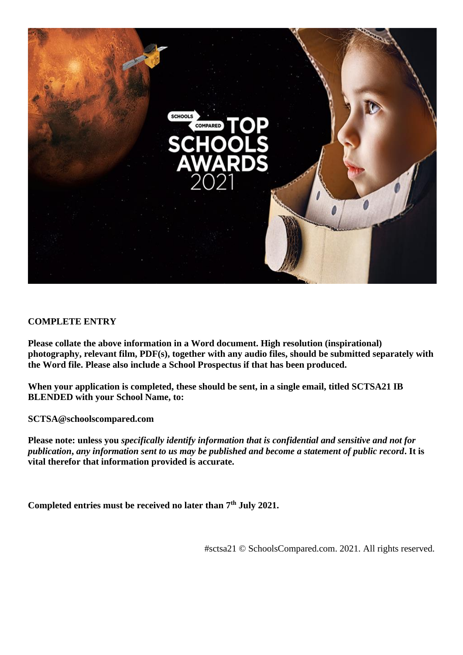

# **COMPLETE ENTRY**

**Please collate the above information in a Word document. High resolution (inspirational) photography, relevant film, PDF(s), together with any audio files, should be submitted separately with the Word file. Please also include a School Prospectus if that has been produced.**

**When your application is completed, these should be sent, in a single email, titled SCTSA21 IB BLENDED with your School Name, to:**

**SCTSA@schoolscompared.com**

**Please note: unless you** *specifically identify information that is confidential and sensitive and not for publication***,** *any information sent to us may be published and become a statement of public record***. It is vital therefor that information provided is accurate.**

**Completed entries must be received no later than 7th July 2021.**

#sctsa21 © SchoolsCompared.com. 2021. All rights reserved.